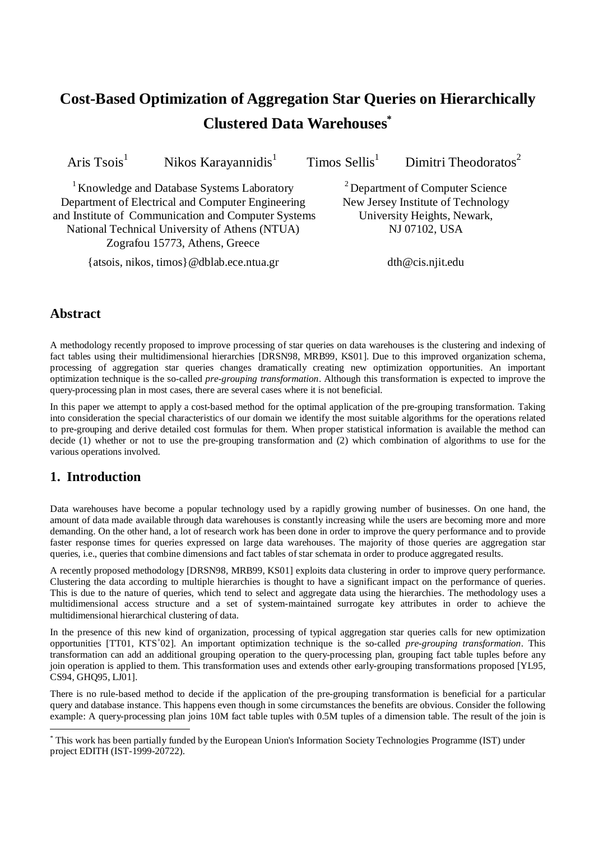# **Cost-Based Optimization of Aggregation Star Queries on Hierarchically Clustered Data Warehouses**∗

Aris  $Tsois<sup>1</sup>$ 

Nikos Karayannidis $<sup>1</sup>$ </sup>

 $Timos$  Sellis<sup>1</sup>

Dimitri Theodoratos<sup>2</sup>

<sup>1</sup> Knowledge and Database Systems Laboratory Department of Electrical and Computer Engineering and Institute of Communication and Computer Systems National Technical University of Athens (NTUA) Zografou 15773, Athens, Greece

{atsois, nikos, timos}@dblab.ece.ntua.gr

2 Department of Computer Science New Jersey Institute of Technology University Heights, Newark, NJ 07102, USA

dth@cis.njit.edu

# **Abstract**

A methodology recently proposed to improve processing of star queries on data warehouses is the clustering and indexing of fact tables using their multidimensional hierarchies [DRSN98, MRB99, KS01]. Due to this improved organization schema, processing of aggregation star queries changes dramatically creating new optimization opportunities. An important optimization technique is the so-called *pre-grouping transformation*. Although this transformation is expected to improve the query-processing plan in most cases, there are several cases where it is not beneficial.

In this paper we attempt to apply a cost-based method for the optimal application of the pre-grouping transformation. Taking into consideration the special characteristics of our domain we identify the most suitable algorithms for the operations related to pre-grouping and derive detailed cost formulas for them. When proper statistical information is available the method can decide (1) whether or not to use the pre-grouping transformation and (2) which combination of algorithms to use for the various operations involved.

# **1. Introduction**

-

Data warehouses have become a popular technology used by a rapidly growing number of businesses. On one hand, the amount of data made available through data warehouses is constantly increasing while the users are becoming more and more demanding. On the other hand, a lot of research work has been done in order to improve the query performance and to provide faster response times for queries expressed on large data warehouses. The majority of those queries are aggregation star queries, i.e., queries that combine dimensions and fact tables of star schemata in order to produce aggregated results.

A recently proposed methodology [DRSN98, MRB99, KS01] exploits data clustering in order to improve query performance. Clustering the data according to multiple hierarchies is thought to have a significant impact on the performance of queries. This is due to the nature of queries, which tend to select and aggregate data using the hierarchies. The methodology uses a multidimensional access structure and a set of system-maintained surrogate key attributes in order to achieve the multidimensional hierarchical clustering of data.

In the presence of this new kind of organization, processing of typical aggregation star queries calls for new optimization opportunities [TT01, KTS<sup>+</sup>02]. An important optimization technique is the so-called *pre-grouping transformation*. This transformation can add an additional grouping operation to the query-processing plan, grouping fact table tuples before any join operation is applied to them. This transformation uses and extends other early-grouping transformations proposed [YL95, CS94, GHQ95, LJ01].

There is no rule-based method to decide if the application of the pre-grouping transformation is beneficial for a particular query and database instance. This happens even though in some circumstances the benefits are obvious. Consider the following example: A query-processing plan joins 10M fact table tuples with 0.5M tuples of a dimension table. The result of the join is

<sup>∗</sup> This work has been partially funded by the European Union's Information Society Technologies Programme (IST) under project EDITH (IST-1999-20722).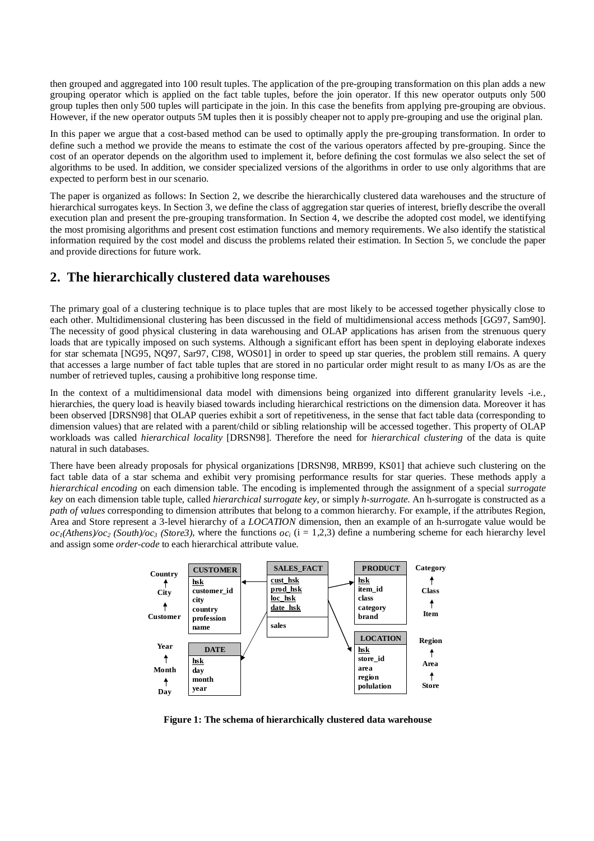then grouped and aggregated into 100 result tuples. The application of the pre-grouping transformation on this plan adds a new grouping operator which is applied on the fact table tuples, before the join operator. If this new operator outputs only 500 group tuples then only 500 tuples will participate in the join. In this case the benefits from applying pre-grouping are obvious. However, if the new operator outputs 5M tuples then it is possibly cheaper not to apply pre-grouping and use the original plan.

In this paper we argue that a cost-based method can be used to optimally apply the pre-grouping transformation. In order to define such a method we provide the means to estimate the cost of the various operators affected by pre-grouping. Since the cost of an operator depends on the algorithm used to implement it, before defining the cost formulas we also select the set of algorithms to be used. In addition, we consider specialized versions of the algorithms in order to use only algorithms that are expected to perform best in our scenario.

The paper is organized as follows: In Section 2, we describe the hierarchically clustered data warehouses and the structure of hierarchical surrogates keys. In Section 3, we define the class of aggregation star queries of interest, briefly describe the overall execution plan and present the pre-grouping transformation. In Section 4, we describe the adopted cost model, we identifying the most promising algorithms and present cost estimation functions and memory requirements. We also identify the statistical information required by the cost model and discuss the problems related their estimation. In Section 5, we conclude the paper and provide directions for future work.

### **2. The hierarchically clustered data warehouses**

The primary goal of a clustering technique is to place tuples that are most likely to be accessed together physically close to each other. Multidimensional clustering has been discussed in the field of multidimensional access methods [GG97, Sam90]. The necessity of good physical clustering in data warehousing and OLAP applications has arisen from the strenuous query loads that are typically imposed on such systems. Although a significant effort has been spent in deploying elaborate indexes for star schemata [NG95, NQ97, Sar97, CI98, WOS01] in order to speed up star queries, the problem still remains. A query that accesses a large number of fact table tuples that are stored in no particular order might result to as many I/Os as are the number of retrieved tuples, causing a prohibitive long response time.

In the context of a multidimensional data model with dimensions being organized into different granularity levels -i.e., hierarchies, the query load is heavily biased towards including hierarchical restrictions on the dimension data. Moreover it has been observed [DRSN98] that OLAP queries exhibit a sort of repetitiveness, in the sense that fact table data (corresponding to dimension values) that are related with a parent/child or sibling relationship will be accessed together. This property of OLAP workloads was called *hierarchical locality* [DRSN98]. Therefore the need for *hierarchical clustering* of the data is quite natural in such databases.

There have been already proposals for physical organizations [DRSN98, MRB99, KS01] that achieve such clustering on the fact table data of a star schema and exhibit very promising performance results for star queries. These methods apply a *hierarchical encoding* on each dimension table. The encoding is implemented through the assignment of a special *surrogate key* on each dimension table tuple, called *hierarchical surrogate key*, or simply *h-surrogate*. An h-surrogate is constructed as a *path of values* corresponding to dimension attributes that belong to a common hierarchy. For example, if the attributes Region, Area and Store represent a 3-level hierarchy of a *LOCATION* dimension, then an example of an h-surrogate value would be  $oc_1(Athens)/oc_2$  (South)/oc<sub>3</sub> (Store3), where the functions  $oc_i$  (i = 1,2,3) define a numbering scheme for each hierarchy level and assign some *order-code* to each hierarchical attribute value.



**Figure 1: The schema of hierarchically clustered data warehouse**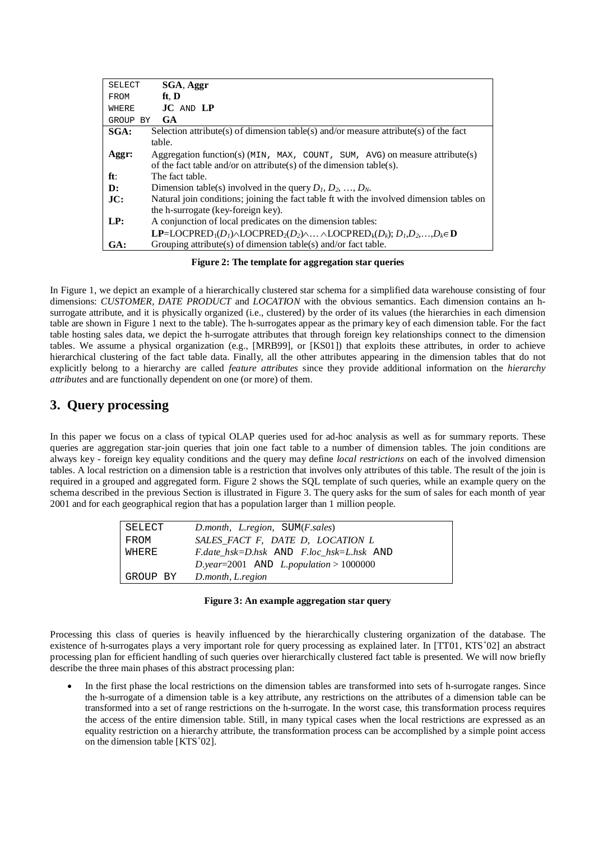| <b>SELECT</b> | SGA, Aggr                                                                                                                                                                                                             |
|---------------|-----------------------------------------------------------------------------------------------------------------------------------------------------------------------------------------------------------------------|
| FROM          | ft. D                                                                                                                                                                                                                 |
| WHERE         | $JC$ and $LP$                                                                                                                                                                                                         |
| GROUP BY      | <b>GA</b>                                                                                                                                                                                                             |
| SGA:          | Selection attribute(s) of dimension table(s) and/or measure attribute(s) of the fact                                                                                                                                  |
|               | table.                                                                                                                                                                                                                |
| Aggr:         | Aggregation function(s) $(MIN, MAX, COUNT, SUM, AVG)$ on measure attribute(s)                                                                                                                                         |
|               | of the fact table and/or on attribute(s) of the dimension table(s).                                                                                                                                                   |
| ft:           | The fact table.                                                                                                                                                                                                       |
| D:            | Dimension table(s) involved in the query $D_1, D_2, , D_N$ .                                                                                                                                                          |
| JC:           | Natural join conditions; joining the fact table ft with the involved dimension tables on                                                                                                                              |
|               | the h-surrogate (key-foreign key).                                                                                                                                                                                    |
| LP:           | A conjunction of local predicates on the dimension tables:                                                                                                                                                            |
|               | <b>LP=LOCPRED</b> <sub>1</sub> (D <sub>1</sub> ) $\wedge$ LOCPRED <sub>2</sub> (D <sub>2</sub> ) $\wedge$ $\wedge$ LOCPRED <sub>k</sub> (D <sub>k</sub> ); D <sub>1</sub> ,D <sub>2</sub> ,,D <sub>k</sub> = <b>D</b> |
| GA:           | Grouping attribute(s) of dimension table(s) and/or fact table.                                                                                                                                                        |

**Figure 2: The template for aggregation star queries** 

In Figure 1, we depict an example of a hierarchically clustered star schema for a simplified data warehouse consisting of four dimensions: *CUSTOMER, DATE PRODUCT* and *LOCATION* with the obvious semantics. Each dimension contains an hsurrogate attribute, and it is physically organized (i.e., clustered) by the order of its values (the hierarchies in each dimension table are shown in Figure 1 next to the table). The h-surrogates appear as the primary key of each dimension table. For the fact table hosting sales data, we depict the h-surrogate attributes that through foreign key relationships connect to the dimension tables. We assume a physical organization (e.g., [MRB99], or [KS01]) that exploits these attributes, in order to achieve hierarchical clustering of the fact table data. Finally, all the other attributes appearing in the dimension tables that do not explicitly belong to a hierarchy are called *feature attributes* since they provide additional information on the *hierarchy attributes* and are functionally dependent on one (or more) of them.

# **3. Query processing**

In this paper we focus on a class of typical OLAP queries used for ad-hoc analysis as well as for summary reports. These queries are aggregation star-join queries that join one fact table to a number of dimension tables. The join conditions are always key - foreign key equality conditions and the query may define *local restrictions* on each of the involved dimension tables. A local restriction on a dimension table is a restriction that involves only attributes of this table. The result of the join is required in a grouped and aggregated form. Figure 2 shows the SQL template of such queries, while an example query on the schema described in the previous Section is illustrated in Figure 3. The query asks for the sum of sales for each month of year 2001 and for each geographical region that has a population larger than 1 million people.

| SELECT   | D.month, L.region, SUM(F.sales)          |
|----------|------------------------------------------|
| FROM     | SALES FACT F, DATE D, LOCATION L         |
| WHERE    | F.date hsk=D.hsk AND F.loc hsk=L.hsk AND |
|          | D.year=2001 AND L.population > 1000000   |
| GROUP BY | D.month, L.region                        |

#### **Figure 3: An example aggregation star query**

Processing this class of queries is heavily influenced by the hierarchically clustering organization of the database. The existence of h-surrogates plays a very important role for query processing as explained later. In [TT01, KTS+02] an abstract processing plan for efficient handling of such queries over hierarchically clustered fact table is presented. We will now briefly describe the three main phases of this abstract processing plan:

In the first phase the local restrictions on the dimension tables are transformed into sets of h-surrogate ranges. Since the h-surrogate of a dimension table is a key attribute, any restrictions on the attributes of a dimension table can be transformed into a set of range restrictions on the h-surrogate. In the worst case, this transformation process requires the access of the entire dimension table. Still, in many typical cases when the local restrictions are expressed as an equality restriction on a hierarchy attribute, the transformation process can be accomplished by a simple point access on the dimension table [KTS<sup>+</sup>02].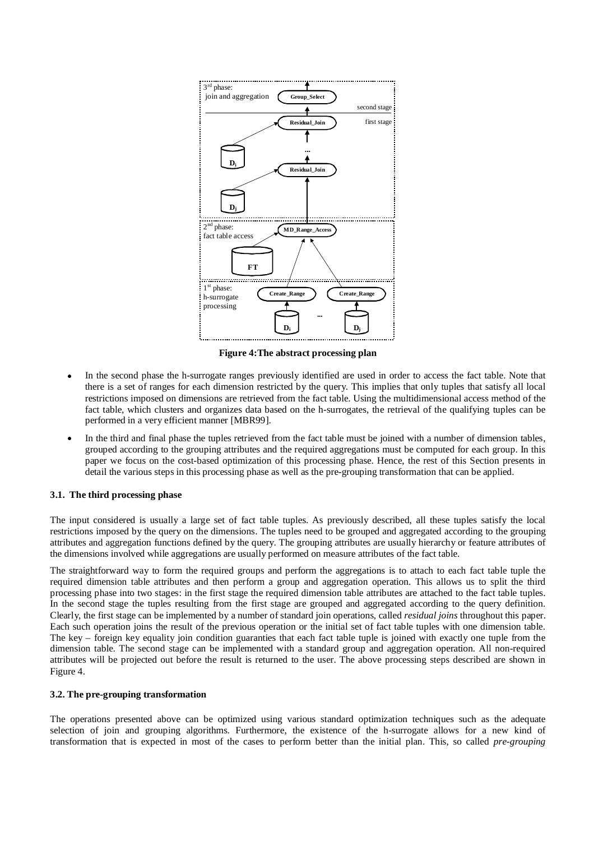

**Figure 4:The abstract processing plan** 

- In the second phase the h-surrogate ranges previously identified are used in order to access the fact table. Note that there is a set of ranges for each dimension restricted by the query. This implies that only tuples that satisfy all local restrictions imposed on dimensions are retrieved from the fact table. Using the multidimensional access method of the fact table, which clusters and organizes data based on the h-surrogates, the retrieval of the qualifying tuples can be performed in a very efficient manner [MBR99].
- In the third and final phase the tuples retrieved from the fact table must be joined with a number of dimension tables, grouped according to the grouping attributes and the required aggregations must be computed for each group. In this paper we focus on the cost-based optimization of this processing phase. Hence, the rest of this Section presents in detail the various steps in this processing phase as well as the pre-grouping transformation that can be applied.

#### **3.1. The third processing phase**

The input considered is usually a large set of fact table tuples. As previously described, all these tuples satisfy the local restrictions imposed by the query on the dimensions. The tuples need to be grouped and aggregated according to the grouping attributes and aggregation functions defined by the query. The grouping attributes are usually hierarchy or feature attributes of the dimensions involved while aggregations are usually performed on measure attributes of the fact table.

The straightforward way to form the required groups and perform the aggregations is to attach to each fact table tuple the required dimension table attributes and then perform a group and aggregation operation. This allows us to split the third processing phase into two stages: in the first stage the required dimension table attributes are attached to the fact table tuples. In the second stage the tuples resulting from the first stage are grouped and aggregated according to the query definition. Clearly, the first stage can be implemented by a number of standard join operations, called *residual joins* throughout this paper. Each such operation joins the result of the previous operation or the initial set of fact table tuples with one dimension table. The key – foreign key equality join condition guaranties that each fact table tuple is joined with exactly one tuple from the dimension table. The second stage can be implemented with a standard group and aggregation operation. All non-required attributes will be projected out before the result is returned to the user. The above processing steps described are shown in Figure 4.

#### **3.2. The pre-grouping transformation**

The operations presented above can be optimized using various standard optimization techniques such as the adequate selection of join and grouping algorithms. Furthermore, the existence of the h-surrogate allows for a new kind of transformation that is expected in most of the cases to perform better than the initial plan. This, so called *pre-grouping*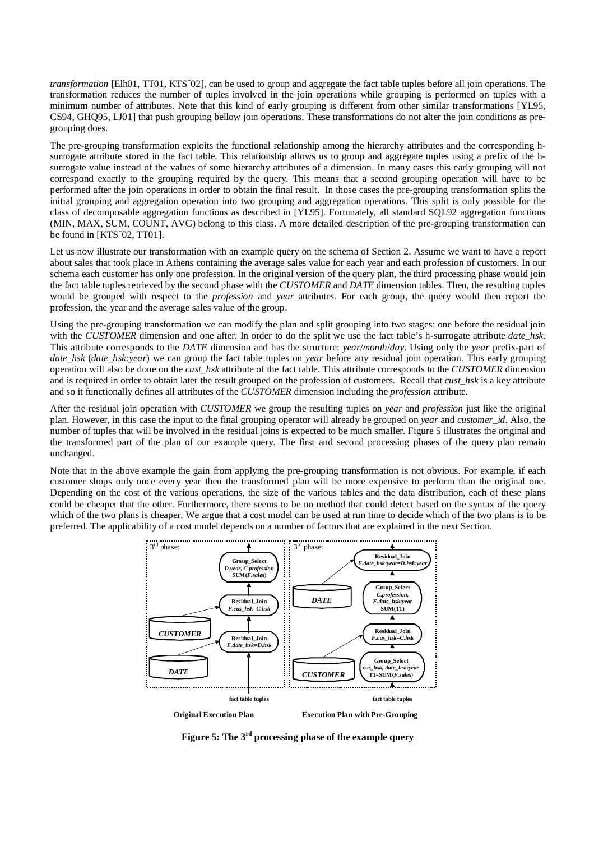transformation [Elh01, TT01, KTS<sup>+</sup>02], can be used to group and aggregate the fact table tuples before all join operations. The transformation reduces the number of tuples involved in the join operations while grouping is performed on tuples with a minimum number of attributes. Note that this kind of early grouping is different from other similar transformations [YL95, CS94, GHQ95, LJ01] that push grouping bellow join operations. These transformations do not alter the join conditions as pregrouping does.

The pre-grouping transformation exploits the functional relationship among the hierarchy attributes and the corresponding hsurrogate attribute stored in the fact table. This relationship allows us to group and aggregate tuples using a prefix of the hsurrogate value instead of the values of some hierarchy attributes of a dimension. In many cases this early grouping will not correspond exactly to the grouping required by the query. This means that a second grouping operation will have to be performed after the join operations in order to obtain the final result. In those cases the pre-grouping transformation splits the initial grouping and aggregation operation into two grouping and aggregation operations. This split is only possible for the class of decomposable aggregation functions as described in [YL95]. Fortunately, all standard SQL92 aggregation functions (MIN, MAX, SUM, COUNT, AVG) belong to this class. A more detailed description of the pre-grouping transformation can be found in  $[KTS<sup>+</sup>02, TT01]$ .

Let us now illustrate our transformation with an example query on the schema of Section 2. Assume we want to have a report about sales that took place in Athens containing the average sales value for each year and each profession of customers. In our schema each customer has only one profession. In the original version of the query plan, the third processing phase would join the fact table tuples retrieved by the second phase with the *CUSTOMER* and *DATE* dimension tables. Then, the resulting tuples would be grouped with respect to the *profession* and *year* attributes. For each group, the query would then report the profession, the year and the average sales value of the group.

Using the pre-grouping transformation we can modify the plan and split grouping into two stages: one before the residual join with the *CUSTOMER* dimension and one after. In order to do the split we use the fact table's h-surrogate attribute *date* hsk. This attribute corresponds to the *DATE* dimension and has the structure: *year*/*month*/*day*. Using only the *year* prefix-part of *date hsk (date hsk:year)* we can group the fact table tuples on *year* before any residual join operation. This early grouping operation will also be done on the *cust\_hsk* attribute of the fact table. This attribute corresponds to the *CUSTOMER* dimension and is required in order to obtain later the result grouped on the profession of customers. Recall that *cust* hsk is a key attribute and so it functionally defines all attributes of the *CUSTOMER* dimension including the *profession* attribute.

After the residual join operation with *CUSTOMER* we group the resulting tuples on *year* and *profession* just like the original plan. However, in this case the input to the final grouping operator will already be grouped on *year* and *customer\_id*. Also, the number of tuples that will be involved in the residual joins is expected to be much smaller. Figure 5 illustrates the original and the transformed part of the plan of our example query. The first and second processing phases of the query plan remain unchanged.

Note that in the above example the gain from applying the pre-grouping transformation is not obvious. For example, if each customer shops only once every year then the transformed plan will be more expensive to perform than the original one. Depending on the cost of the various operations, the size of the various tables and the data distribution, each of these plans could be cheaper that the other. Furthermore, there seems to be no method that could detect based on the syntax of the query which of the two plans is cheaper. We argue that a cost model can be used at run time to decide which of the two plans is to be preferred. The applicability of a cost model depends on a number of factors that are explained in the next Section.



**Figure 5: The 3rd processing phase of the example query**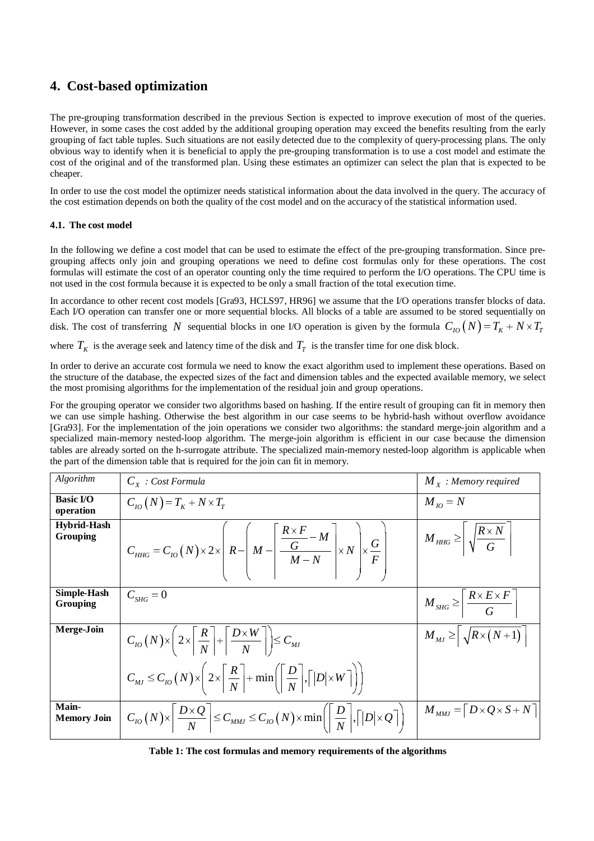### **4. Cost-based optimization**

The pre-grouping transformation described in the previous Section is expected to improve execution of most of the queries. However, in some cases the cost added by the additional grouping operation may exceed the benefits resulting from the early grouping of fact table tuples. Such situations are not easily detected due to the complexity of query-processing plans. The only obvious way to identify when it is beneficial to apply the pre-grouping transformation is to use a cost model and estimate the cost of the original and of the transformed plan. Using these estimates an optimizer can select the plan that is expected to be cheaper.

In order to use the cost model the optimizer needs statistical information about the data involved in the query. The accuracy of the cost estimation depends on both the quality of the cost model and on the accuracy of the statistical information used.

#### **4.1. The cost model**

In the following we define a cost model that can be used to estimate the effect of the pre-grouping transformation. Since pregrouping affects only join and grouping operations we need to define cost formulas only for these operations. The cost formulas will estimate the cost of an operator counting only the time required to perform the I/O operations. The CPU time is not used in the cost formula because it is expected to be only a small fraction of the total execution time.

In accordance to other recent cost models [Gra93, HCLS97, HR96] we assume that the I/O operations transfer blocks of data. Each I/O operation can transfer one or more sequential blocks. All blocks of a table are assumed to be stored sequentially on disk. The cost of transferring *N* sequential blocks in one I/O operation is given by the formula  $C_{10}(N) = T_K + N \times T_T$ where  $T_K$  is the average seek and latency time of the disk and  $T_T$  is the transfer time for one disk block.

In order to derive an accurate cost formula we need to know the exact algorithm used to implement these operations. Based on the structure of the database, the expected sizes of the fact and dimension tables and the expected available memory, we select the most promising algorithms for the implementation of the residual join and group operations.

For the grouping operator we consider two algorithms based on hashing. If the entire result of grouping can fit in memory then we can use simple hashing. Otherwise the best algorithm in our case seems to be hybrid-hash without overflow avoidance [Gra93]. For the implementation of the join operations we consider two algorithms: the standard merge-join algorithm and a specialized main-memory nested-loop algorithm. The merge-join algorithm is efficient in our case because the dimension tables are already sorted on the h-surrogate attribute. The specialized main-memory nested-loop algorithm is applicable when the part of the dimension table that is required for the join can fit in memory.

| Algorithm                      | $C_{x}$ : Cost Formula                                                                                                                                                                       | $M_{x}$ : Memory required                                         |
|--------------------------------|----------------------------------------------------------------------------------------------------------------------------------------------------------------------------------------------|-------------------------------------------------------------------|
| <b>Basic I/O</b><br>operation  | $C_{10}(N) = T_K + N \times T_T$                                                                                                                                                             | $M_{10} = N$                                                      |
| <b>Hybrid-Hash</b><br>Grouping | $C_{HHG} = C_{IO}(N) \times 2 \times \left[ R - \left( M - \left  \frac{\frac{R \times F}{G} - M}{M - N} \right  \times N \right) \times \frac{G}{F} \right]$                                | $M_{HHG} \ge \left  \sqrt{\frac{R \times N}{G}} \right $          |
| Simple-Hash<br>Grouping        | $C_{SHG}=0$                                                                                                                                                                                  | $M_{SHG} \geq \left  \frac{R \times E \times F}{G} \right $       |
| Merge-Join                     | $C_{IO}(N) \times \left(2 \times \left \frac{R}{N}\right  + \left \frac{D \times W}{N}\right \right) \leq C_{MJ}$                                                                            | $M_{_{MJ}} \geq \left  \sqrt{R \times (N+1)} \right $             |
|                                | $C_{MJ} \leq C_{IO}(N) \times \left(2 \times \left\lceil \frac{R}{N} \right\rceil + \min \left( \left\lceil \frac{D}{N} \right\rceil, \left\lceil  D  \times W \right\rceil \right) \right)$ |                                                                   |
| Main-<br><b>Memory Join</b>    | $\left  C_{IO}(N) \times \left  \frac{D \times Q}{N} \right  \leq C_{MMJ} \leq C_{IO}(N) \times \min \left( \left  \frac{D}{N} \right , \left\lceil  D  \times Q \right\rceil \right)$       | $M_{MMI} = \begin{bmatrix} D \times Q \times S + N \end{bmatrix}$ |

**Table 1: The cost formulas and memory requirements of the algorithms**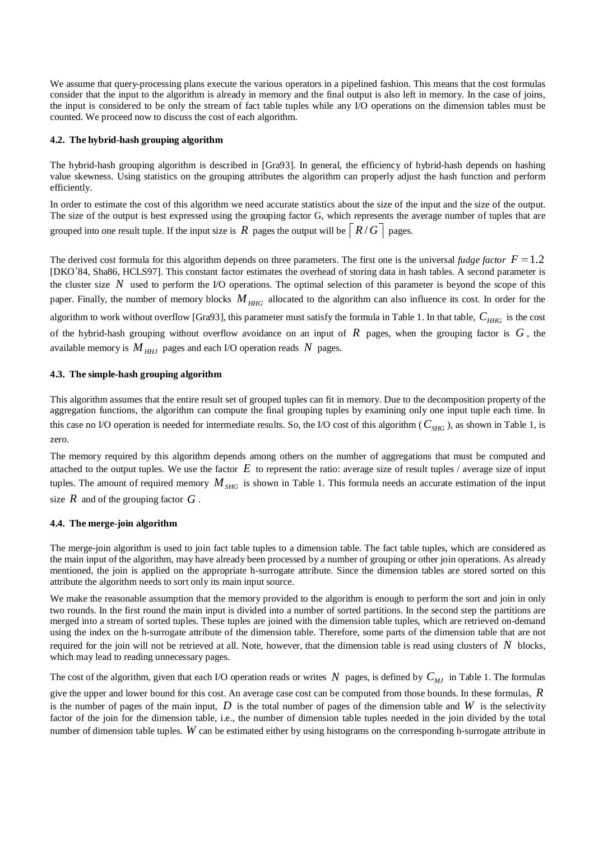We assume that query-processing plans execute the various operators in a pipelined fashion. This means that the cost formulas consider that the input to the algorithm is already in memory and the final output is also left in memory. In the case of joins, the input is considered to be only the stream of fact table tuples while any I/O operations on the dimension tables must be counted. We proceed now to discuss the cost of each algorithm.

#### **4.2. The hybrid-hash grouping algorithm**

The hybrid-hash grouping algorithm is described in [Gra93]. In general, the efficiency of hybrid-hash depends on hashing value skewness. Using statistics on the grouping attributes the algorithm can properly adjust the hash function and perform efficiently.

In order to estimate the cost of this algorithm we need accurate statistics about the size of the input and the size of the output. The size of the output is best expressed using the grouping factor G, which represents the average number of tuples that are grouped into one result tuple. If the input size is *R* pages the output will be  $\lceil R/G \rceil$  pages.

The derived cost formula for this algorithm depends on three parameters. The first one is the universal *fudge factor*  $F = 1.2$  [DKO<sup>+</sup>84, Sha86, HCLS97]. This constant factor estimates the overhead of storing data in has [DKO<sup>+</sup>84, Sha86, HCLS97]. This constant factor estimates the overhead of storing data in hash tables. A second parameter is the cluster size *N* used to perform the I/O operations. The optimal selection of this parameter is beyond the scope of this paper. Finally, the number of memory blocks  $M<sub>HHG</sub>$  allocated to the algorithm can also influence its cost. In order for the algorithm to work without overflow [Gra93], this parameter must satisfy the formula in Table 1. In that table,  $C_{HHG}$  is the cost of the hybrid-hash grouping without overflow avoidance on an input of  $R$  pages, when the grouping factor is  $G$ , the available memory is  $M_{HHJ}$  pages and each I/O operation reads N pages.

#### **4.3. The simple-hash grouping algorithm**

This algorithm assumes that the entire result set of grouped tuples can fit in memory. Due to the decomposition property of the aggregation functions, the algorithm can compute the final grouping tuples by examining only one input tuple each time. In this case no I/O operation is needed for intermediate results. So, the I/O cost of this algorithm ( $C_{SHG}$ ), as shown in Table 1, is zero.

The memory required by this algorithm depends among others on the number of aggregations that must be computed and attached to the output tuples. We use the factor *E* to represent the ratio: average size of result tuples / average size of input tuples. The amount of required memory  $M_{SHG}$  is shown in Table 1. This formula needs an accurate estimation of the input size *R* and of the grouping factor *G* .

#### **4.4. The merge-join algorithm**

The merge-join algorithm is used to join fact table tuples to a dimension table. The fact table tuples, which are considered as the main input of the algorithm, may have already been processed by a number of grouping or other join operations. As already mentioned, the join is applied on the appropriate h-surrogate attribute. Since the dimension tables are stored sorted on this attribute the algorithm needs to sort only its main input source.

We make the reasonable assumption that the memory provided to the algorithm is enough to perform the sort and join in only two rounds. In the first round the main input is divided into a number of sorted partitions. In the second step the partitions are merged into a stream of sorted tuples. These tuples are joined with the dimension table tuples, which are retrieved on-demand using the index on the h-surrogate attribute of the dimension table. Therefore, some parts of the dimension table that are not required for the join will not be retrieved at all. Note, however, that the dimension table is read using clusters of *N* blocks, which may lead to reading unnecessary pages.

The cost of the algorithm, given that each I/O operation reads or writes *N* pages, is defined by  $C_{MI}$  in Table 1. The formulas

give the upper and lower bound for this cost. An average case cost can be computed from those bounds. In these formulas, *R* is the number of pages of the main input,  $D$  is the total number of pages of the dimension table and  $W$  is the selectivity factor of the join for the dimension table, i.e., the number of dimension table tuples needed in the join divided by the total number of dimension table tuples. *W* can be estimated either by using histograms on the corresponding h-surrogate attribute in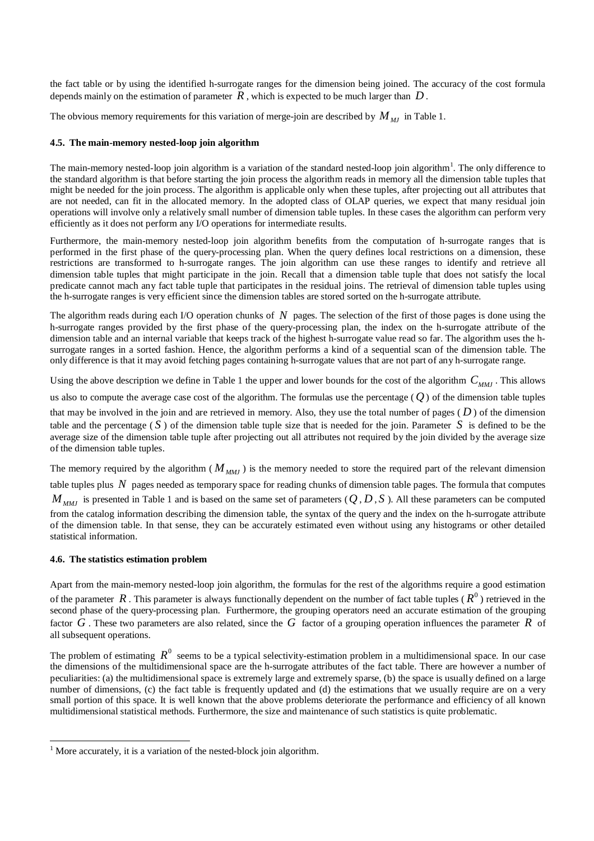the fact table or by using the identified h-surrogate ranges for the dimension being joined. The accuracy of the cost formula depends mainly on the estimation of parameter  $R$ , which is expected to be much larger than  $D$ .

The obvious memory requirements for this variation of merge-join are described by  $M_{MI}$  in Table 1.

#### **4.5. The main-memory nested-loop join algorithm**

The main-memory nested-loop join algorithm is a variation of the standard nested-loop join algorithm<sup>1</sup>. The only difference to the standard algorithm is that before starting the join process the algorithm reads in memory all the dimension table tuples that might be needed for the join process. The algorithm is applicable only when these tuples, after projecting out all attributes that are not needed, can fit in the allocated memory. In the adopted class of OLAP queries, we expect that many residual join operations will involve only a relatively small number of dimension table tuples. In these cases the algorithm can perform very efficiently as it does not perform any I/O operations for intermediate results.

Furthermore, the main-memory nested-loop join algorithm benefits from the computation of h-surrogate ranges that is performed in the first phase of the query-processing plan. When the query defines local restrictions on a dimension, these restrictions are transformed to h-surrogate ranges. The join algorithm can use these ranges to identify and retrieve all dimension table tuples that might participate in the join. Recall that a dimension table tuple that does not satisfy the local predicate cannot mach any fact table tuple that participates in the residual joins. The retrieval of dimension table tuples using the h-surrogate ranges is very efficient since the dimension tables are stored sorted on the h-surrogate attribute.

The algorithm reads during each I/O operation chunks of *N* pages. The selection of the first of those pages is done using the h-surrogate ranges provided by the first phase of the query-processing plan, the index on the h-surrogate attribute of the dimension table and an internal variable that keeps track of the highest h-surrogate value read so far. The algorithm uses the hsurrogate ranges in a sorted fashion. Hence, the algorithm performs a kind of a sequential scan of the dimension table. The only difference is that it may avoid fetching pages containing h-surrogate values that are not part of any h-surrogate range.

Using the above description we define in Table 1 the upper and lower bounds for the cost of the algorithm  $C_{MMI}$ . This allows us also to compute the average case cost of the algorithm. The formulas use the percentage  $(Q)$  of the dimension table tuples that may be involved in the join and are retrieved in memory. Also, they use the total number of pages  $(D)$  of the dimension table and the percentage  $(S)$  of the dimension table tuple size that is needed for the join. Parameter  $S$  is defined to be the average size of the dimension table tuple after projecting out all attributes not required by the join divided by the average size of the dimension table tuples.

The memory required by the algorithm ( $M_{MMI}$ ) is the memory needed to store the required part of the relevant dimension table tuples plus *N* pages needed as temporary space for reading chunks of dimension table pages. The formula that computes  $M_{MMI}$  is presented in Table 1 and is based on the same set of parameters ( $Q$ ,  $D$ ,  $S$ ). All these parameters can be computed from the catalog information describing the dimension table, the syntax of the query and the index on the h-surrogate attribute of the dimension table. In that sense, they can be accurately estimated even without using any histograms or other detailed statistical information.

#### **4.6. The statistics estimation problem**

-

Apart from the main-memory nested-loop join algorithm, the formulas for the rest of the algorithms require a good estimation of the parameter  $R$ . This parameter is always functionally dependent on the number of fact table tuples ( $R^0$ ) retrieved in the second phase of the query-processing plan. Furthermore, the grouping operators need an accurate estimation of the grouping factor *G* . These two parameters are also related, since the *G* factor of a grouping operation influences the parameter *R* of all subsequent operations.

The problem of estimating  $R^0$  seems to be a typical selectivity-estimation problem in a multidimensional space. In our case the dimensions of the multidimensional space are the h-surrogate attributes of the fact table. There are however a number of peculiarities: (a) the multidimensional space is extremely large and extremely sparse, (b) the space is usually defined on a large number of dimensions, (c) the fact table is frequently updated and (d) the estimations that we usually require are on a very small portion of this space. It is well known that the above problems deteriorate the performance and efficiency of all known multidimensional statistical methods. Furthermore, the size and maintenance of such statistics is quite problematic.

<sup>&</sup>lt;sup>1</sup> More accurately, it is a variation of the nested-block join algorithm.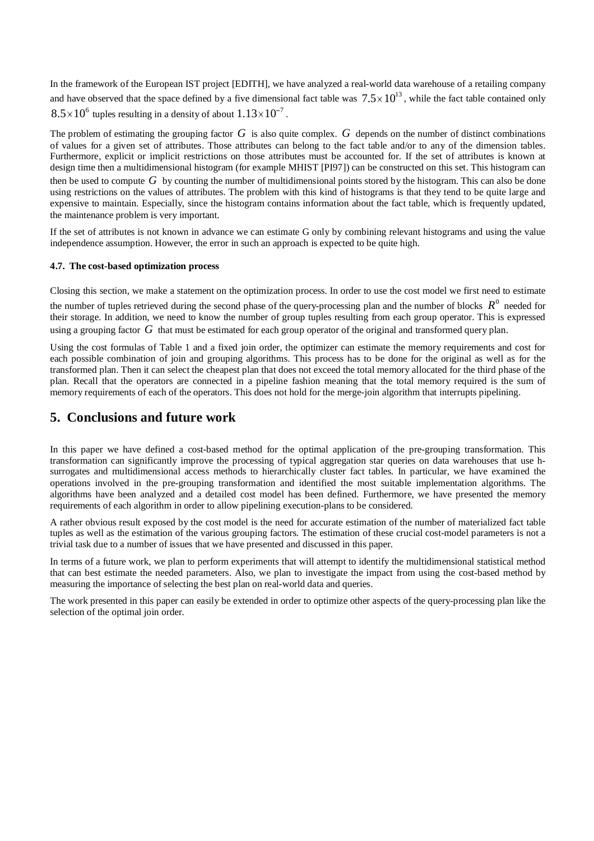In the framework of the European IST project [EDITH], we have analyzed a real-world data warehouse of a retailing company and have observed that the space defined by a five dimensional fact table was  $7.5 \times 10^{13}$ , while the fact table contained only  $8.5 \times 10^6$  tuples resulting in a density of about  $1.13 \times 10^{-7}$ .

 $\times 10^{-7}$ .<br>also qui<br>utes can<br>se attrib The problem of estimating the grouping factor *G* is also quite complex. *G* depends on the number of distinct combinations of values for a given set of attributes. Those attributes can belong to the fact table and/or to any of the dimension tables. Furthermore, explicit or implicit restrictions on those attributes must be accounted for. If the set of attributes is known at design time then a multidimensional histogram (for example MHIST [PI97]) can be constructed on this set. This histogram can then be used to compute *G* by counting the number of multidimensional points stored by the histogram. This can also be done using restrictions on the values of attributes. The problem with this kind of histograms is that they tend to be quite large and expensive to maintain. Especially, since the histogram contains information about the fact table, which is frequently updated, the maintenance problem is very important.

If the set of attributes is not known in advance we can estimate G only by combining relevant histograms and using the value independence assumption. However, the error in such an approach is expected to be quite high.

#### **4.7. The cost-based optimization process**

Closing this section, we make a statement on the optimization process. In order to use the cost model we first need to estimate the number of tuples retrieved during the second phase of the query-processing plan and the number of blocks  $R^0$  needed for their storage. In addition, we need to know the number of group tuples resulting from each group operator. This is expressed using a grouping factor *G* that must be estimated for each group operator of the original and transformed query plan.

Using the cost formulas of Table 1 and a fixed join order, the optimizer can estimate the memory requirements and cost for each possible combination of join and grouping algorithms. This process has to be done for the original as well as for the transformed plan. Then it can select the cheapest plan that does not exceed the total memory allocated for the third phase of the plan. Recall that the operators are connected in a pipeline fashion meaning that the total memory required is the sum of memory requirements of each of the operators. This does not hold for the merge-join algorithm that interrupts pipelining.

### **5. Conclusions and future work**

In this paper we have defined a cost-based method for the optimal application of the pre-grouping transformation. This transformation can significantly improve the processing of typical aggregation star queries on data warehouses that use hsurrogates and multidimensional access methods to hierarchically cluster fact tables. In particular, we have examined the operations involved in the pre-grouping transformation and identified the most suitable implementation algorithms. The algorithms have been analyzed and a detailed cost model has been defined. Furthermore, we have presented the memory requirements of each algorithm in order to allow pipelining execution-plans to be considered.

A rather obvious result exposed by the cost model is the need for accurate estimation of the number of materialized fact table tuples as well as the estimation of the various grouping factors. The estimation of these crucial cost-model parameters is not a trivial task due to a number of issues that we have presented and discussed in this paper.

In terms of a future work, we plan to perform experiments that will attempt to identify the multidimensional statistical method that can best estimate the needed parameters. Also, we plan to investigate the impact from using the cost-based method by measuring the importance of selecting the best plan on real-world data and queries.

The work presented in this paper can easily be extended in order to optimize other aspects of the query-processing plan like the selection of the optimal join order.